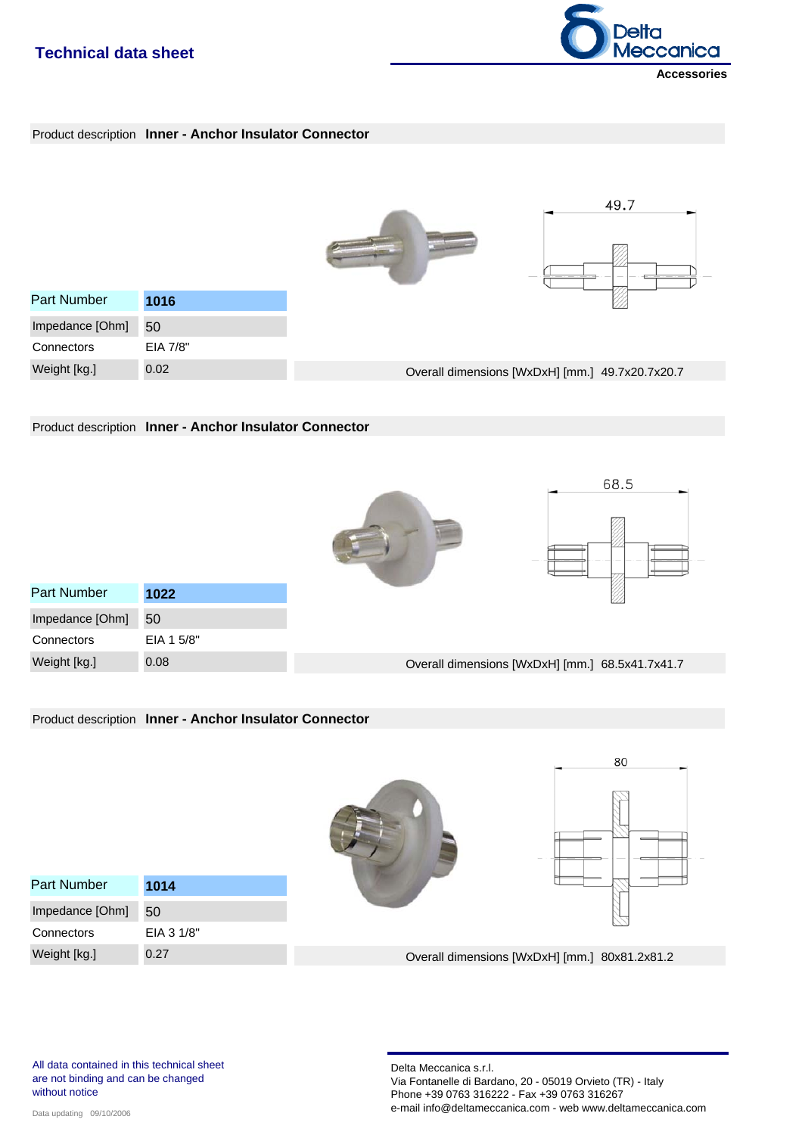# **Technical data sheet**



### Product description **Inner - Anchor Insulator Connector**

|                    |          | 49.7                                            |
|--------------------|----------|-------------------------------------------------|
| <b>Part Number</b> | 1016     |                                                 |
| Impedance [Ohm]    | 50       |                                                 |
| Connectors         | EIA 7/8" |                                                 |
| Weight [kg.]       | 0.02     | Overall dimensions [WxDxH] [mm.] 49.7x20.7x20.7 |

Product description **Inner - Anchor Insulator Connector**





| <b>Part Number</b> | 1022       |                                                 |
|--------------------|------------|-------------------------------------------------|
| Impedance [Ohm]    | 50         |                                                 |
| Connectors         | EIA 1 5/8" |                                                 |
| Weight [kg.]       | 0.08       | Overall dimensions [WxDxH] [mm.] 68.5x41.7x41.7 |
|                    |            |                                                 |

#### Product description **Inner - Anchor Insulator Connector**

|                    |            | 80                                            |
|--------------------|------------|-----------------------------------------------|
| <b>Part Number</b> | 1014       |                                               |
| Impedance [Ohm]    | 50         |                                               |
| Connectors         | EIA 3 1/8" |                                               |
| Weight [kg.]       | 0.27       | Overall dimensions [WxDxH] [mm.] 80x81.2x81.2 |

All data contained in this technical sheet are not binding and can be changed without notice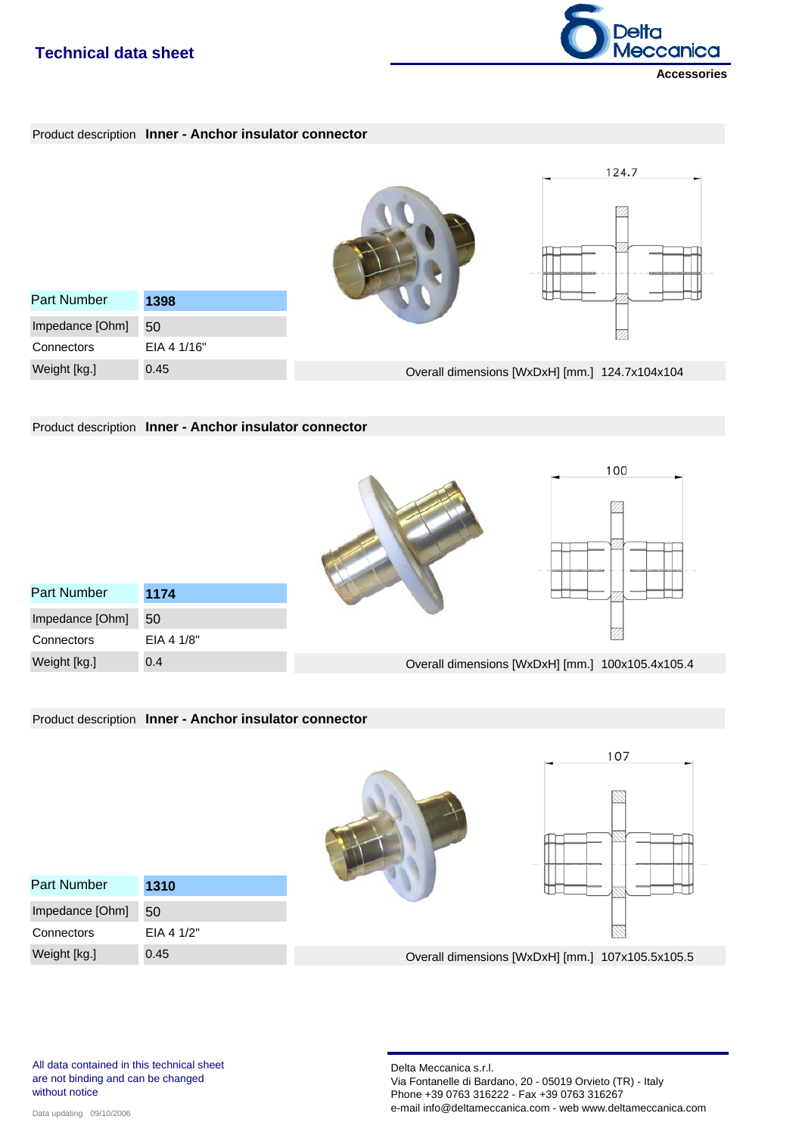### **Technical data sheet**







Product description **Inner - Anchor insulator connector**





EIA 4 1/8" **Connectors** Weight [kg.] 0.4 Impedance [Ohm] 50

Part Number **1174** 



Product description **Inner - Anchor insulator connector**